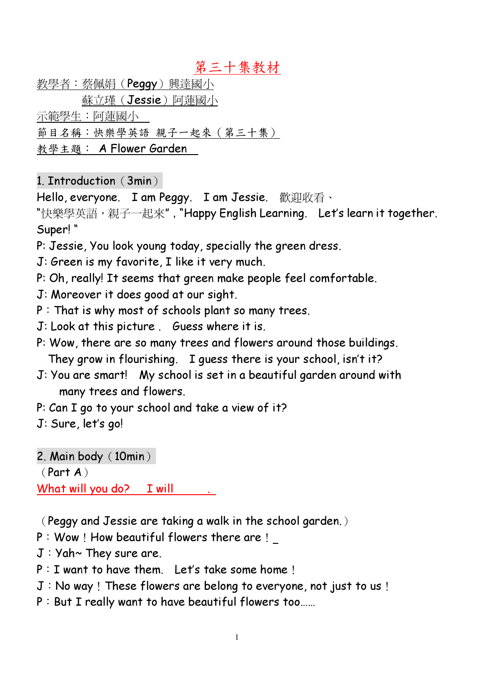### 第三十集教材

<u>教學者:蔡佩娟(**Peggy**)興達國小</u>

蘇立瑾(Jessie)阿蓮國小

示範學生:阿蓮國小

節目名稱:快樂學英語 親子一起來 (第三十集)

教學主題: A Flower Garden

### 1. Introduction (3min)

Hello, everyone. I am Peggy. I am Jessie. 歡迎收看、

"快樂學英語,親子—起來", "Happy English Learning. Let's learn it together. Super! "

- P: Jessie, You look young today, specially the green dress.
- J: Green is my favorite, I like it very much.
- P: Oh, really! It seems that green make people feel comfortable.
- J: Moreover it does good at our sight.
- $P:$  That is why most of schools plant so many trees.
- J: Look at this picture . Guess where it is.
- P: Wow, there are so many trees and flowers around those buildings. They grow in flourishing. I guess there is your school, isn't it?
- J: You are smart! My school is set in a beautiful garden around with many trees and flowers.
- P: Can I go to your school and take a view of it?

J: Sure, let's go!

2. Main body  $(10min)$ 

Part A 

What will you do? I will

Peggy and Jessie are taking a walk in the school garden. 

- $P:$  Wow! How beautiful flowers there are!
- $J:Yah \sim$  They sure are.
- $P: I$  want to have them. Let's take some home!
- $J:$  No way! These flowers are belong to everyone, not just to us!
- $P:$  But I really want to have beautiful flowers too......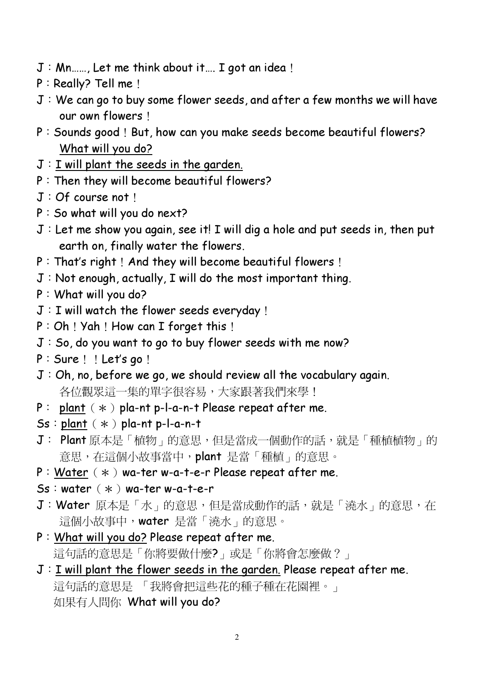- $J: Mn...$ , Let me think about it.... I got an idea!
- P: Really? Tell me!
- $J:$  We can go to buy some flower seeds, and after a few months we will have our own flowers!
- P: Sounds good! But, how can you make seeds become beautiful flowers? What will you do?
- $J:I$  will plant the seeds in the garden.
- $P:$  Then they will become beautiful flowers?
- $J:Of course not$
- $P:$  So what will you do next?
- $J$  : Let me show you again, see it! I will dig a hole and put seeds in, then put earth on, finally water the flowers.
- $P: That's right$ ! And they will become beautiful flowers!
- $J:$  Not enough, actually, I will do the most important thing.
- $P: What will you do?$
- $J:I$  will watch the flower seeds everyday !
- $P: Oh$  ! Yah ! How can I forget this !
- $J:$  So, do you want to go to buy flower seeds with me now?
- $P: Sure : ! Let's go :$
- $J:Oh, no, before we go, we should review all the vocabulary again.$ 各位觀眾這一集的單字很容易,大家跟著我們來學!
- P : plant  $(*)$  pla-nt p-l-a-n-t Please repeat after me.
- $Ss: plant$   $(*)$  pla-nt p-l-a-n-t
- J: Plant 原本是「植物」的意思,但是當成一個動作的話,就是「種植植物」的 意思,在這個小故事當中,plant 是當「種植」的意思。
- $P: Water$   $(*)$  wa-ter w-a-t-e-r Please repeat after me.
- $Ss:water$   $(*)$  wa-ter w-a-t-e-r
- J: Water 原本是「水」的意思,但是當成動作的話,就是「澆水」的意思,在 這個小故事中, water 是當「澆水」的意思。
- $P:$  What will you do? Please repeat after me. 這句話的意思是「你將要做什麼?」或是「你將會怎麼做?」
- J: I will plant the flower seeds in the garden. Please repeat after me. 這句話的意思是 「我將會把這些花的種子種在花園裡。」 如果有人問你 What will you do?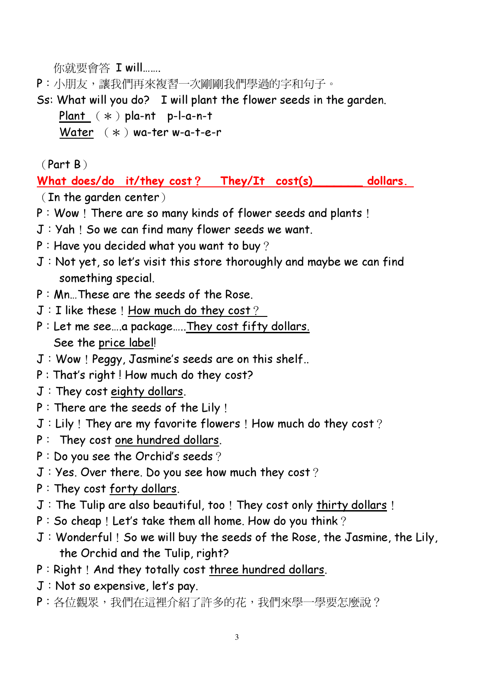你就要會答 I will.......

- P:小朋友,讓我們再來複習一次剛剛我們學過的字和句子。
- Ss: What will you do? I will plant the flower seeds in the garden.
	- Plant  $(* )$  pla-nt p-l-a-n-t
	- Water  $(*)$  wa-ter w-a-t-e-r

 $(Part B)$ 

What does/do it/they cost? They/It cost(s) dollars.

 $($  In the garden center  $)$ 

- $P:$  Wow! There are so many kinds of flower seeds and plants!
- $J:Yah:$  So we can find many flower seeds we want.
- $P$ : Have you decided what you want to buy?
- $J:$  Not yet, so let's visit this store thoroughly and maybe we can find something special.
- $P: Mn$ . These are the seeds of the Rose.
- $J:I$  like these! How much do they cost?
- $P:$  Let me see....a package.....They cost fifty dollars. See the price label!
- $J:$  Wow ! Peggy, Jasmine's seeds are on this shelf..
- P : That's right ! How much do they cost?
- $J:$  They cost eighty dollars.
- $P:$  There are the seeds of the Lily !
- $J:$  Lily! They are my favorite flowers! How much do they cost?
- $P:$  They cost one hundred dollars.
- $P: Do$  you see the Orchid's seeds ?
- $J: Yes.$  Over there. Do you see how much they cost?
- P: They cost forty dollars.
- $J$ : The Tulip are also beautiful, too! They cost only thirty dollars!
- $P:$  So cheap! Let's take them all home. How do you think?
- $J:$  Wonderful! So we will buy the seeds of the Rose, the Jasmine, the Lily, the Orchid and the Tulip, right?
- P: Right! And they totally cost three hundred dollars.
- $J:$  Not so expensive, let's pay.
- P:各位觀眾,我們在這裡介紹了許多的花,我們來學一學要怎麼說?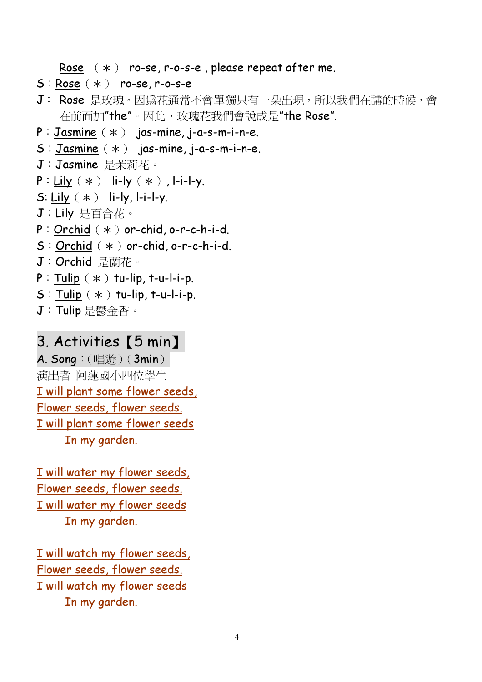Rose  $(*)$  ro-se, r-o-s-e, please repeat after me.

- $S: Rose (*)$  ro-se, r-o-s-e
- J: Rose 是玫瑰。因為花通常不會單獨只有一朵出現,所以我們在講的時候,會 在前面加"the"。因此,玫瑰花我們會說成是"the Rose".
- $P: Jasmine$   $(*)$  jas-mine, j-a-s-m-i-n-e.
- $S:$  Jasmine  $(*)$  jas-mine, j-a-s-m-i-n-e.
- J: Jasmine 是茉莉花。
- $P: Lily (*)$  li-ly  $(*)$ , l-i-l-y.
- S: Lily  $(*)$  li-ly, l-i-l-y.
- J: Lily 是百合花。
- $P:$  Orchid  $(*)$  or-chid, o-r-c-h-i-d.
- $S:$  Orchid  $(*)$  or-chid, o-r-c-h-i-d.
- J: Orchid 是蘭花。
- $P:$  Tulip  $(*)$  tu-lip, t-u-l-i-p.
- $S:$  Tulip  $(*)$  tu-lip, t-u-l-i-p.
- J: Tulip 是鬱金香。

### 3. Activities [5 min]

 $A.$  Song:  $(\mathbb{H} \mathcal{L})$   $(3min)$ 演出者 阿蓮國小四位學生 I will plant some flower seeds, Flower seeds, flower seeds. I will plant some flower seeds In my garden.

I will water my flower seeds, Flower seeds, flower seeds. I will water my flower seeds In my garden.

I will watch my flower seeds, Flower seeds, flower seeds. I will watch my flower seeds In my garden.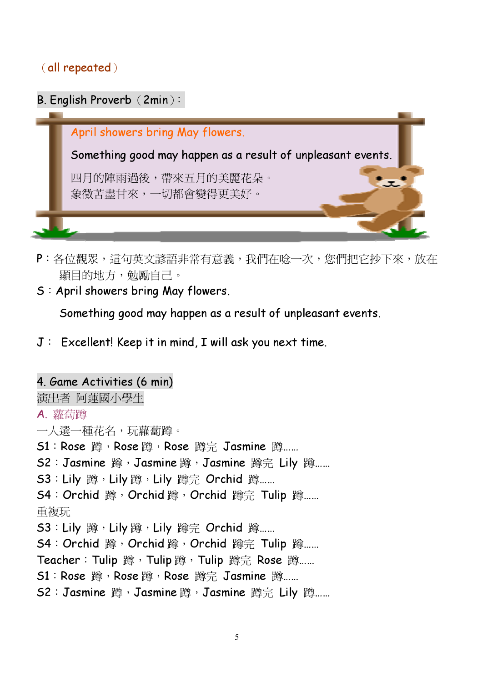#### all repeated



- P:各位觀眾,這句英文諺語非常有意義,我們在唸一次,您們把它抄下來,放在 顯目的地方,勉勵自己。
- S: April showers bring May flowers.

Something good may happen as a result of unpleasant events.

 $J$  : Excellent! Keep it in mind, I will ask you next time.

## 4. Game Activities (6 min) 演出者 阿蓮國小學生 A. 蘿蔔蹲 一人選一種花名,玩蘿蔔蹲。 S1: Rose 蹲, Rose 蹲, Rose 蹲完 Jasmine 蹲…… S2: Jasmine 蹲, Jasmine 蹲, Jasmine 蹲完 Lily 蹲…… S3: Lily 蹲, Lily 蹲, Lily 蹲完 Orchid 蹲…… S4: Orchid 蹲, Orchid 蹲, Orchid 蹲完 Tulip 蹲…… 重複玩 S3: Lily 蹲, Lily 蹲, Lily 蹲完 Orchid 蹲…… S4: Orchid 蹲, Orchid 蹲, Orchid 蹲完 Tulip 蹲…… Teacher: Tulip 蹲, Tulip 蹲, Tulip 蹲完 Rose 蹲…… S1: Rose 蹲, Rose 蹲, Rose 蹲完 Jasmine 蹲…… S2: Jasmine 蹲, Jasmine 蹲, Jasmine 蹲完 Lily 蹲……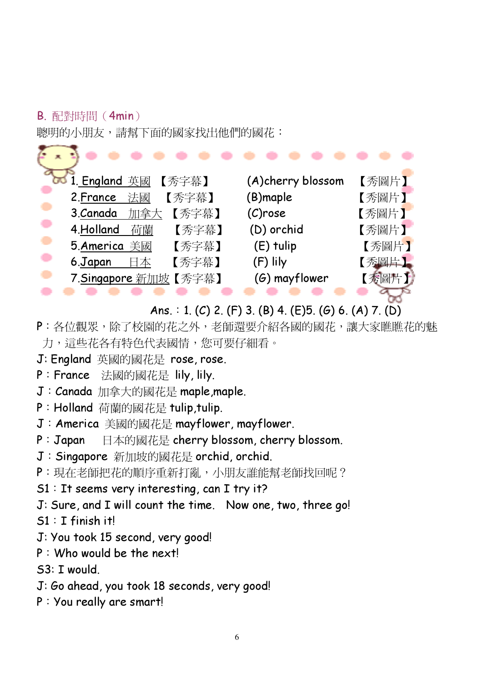## **B.** 配對時間 (4min)

聰明的小朋友,請幫下面的國家找出他們的國花:

| bo 1. England 英國<br>【秀字幕】 | (A)cherry blossom | 【秀圖片】 |
|---------------------------|-------------------|-------|
| 2. France<br>【秀字幕】<br>法國  | (B)maple          | 【秀圖片】 |
| 【秀字幕】<br>3.Canada<br>加拿大  | $(C)$ rose        | 【秀圖片】 |
| 4.Holland<br>【秀字幕】<br>荷蘭  | (D) orchid        | 【秀圖片】 |
| 5.America 美國<br>【秀字幕】     | $(E)$ tulip       | 【秀圖片】 |
| 【秀字幕】<br>6.Japan<br>日本    | (F) lily          | 【秀圖片】 |
| 7.Singapore 新加坡【秀字幕】      | $(6)$ mayflower   | 【秀圖片】 |
|                           |                   |       |

# Ans. : 1. (C) 2. (F) 3. (B) 4. (E)5. (G) 6. (A) 7. (D)

- P: 各位觀眾, 除了校園的花之外, 老師還要介紹各國的國花, 讓大家瞧瞧花的魅 力,這些花各有特色代表國情,您可要仔細看。
- J: England 英國的國花是 rose, rose.
- P: France 法國的國花是 lily, lily.
- J: Canada 加拿大的國花是 maple, maple.
- P: Holland 荷蘭的國花是 tulip, tulip.
- J: America 美國的國花是 mayflower, mayflower.
- P: Japan 日本的國花是 cherry blossom, cherry blossom.
- J: Singapore 新加坡的國花是 orchid, orchid.
- P: 現在老師把花的順序重新打亂, 小朋友誰能幫老師找回呢?
- $S1:$  It seems very interesting, can I try it?
- J: Sure, and I will count the time. Now one, two, three go!

 $S1$ : T finish it!

- J: You took 15 second, very good!
- $P:$  Who would be the next!

S3: I would.

- J: Go ahead, you took 18 seconds, very good!
- P: You really are smart!